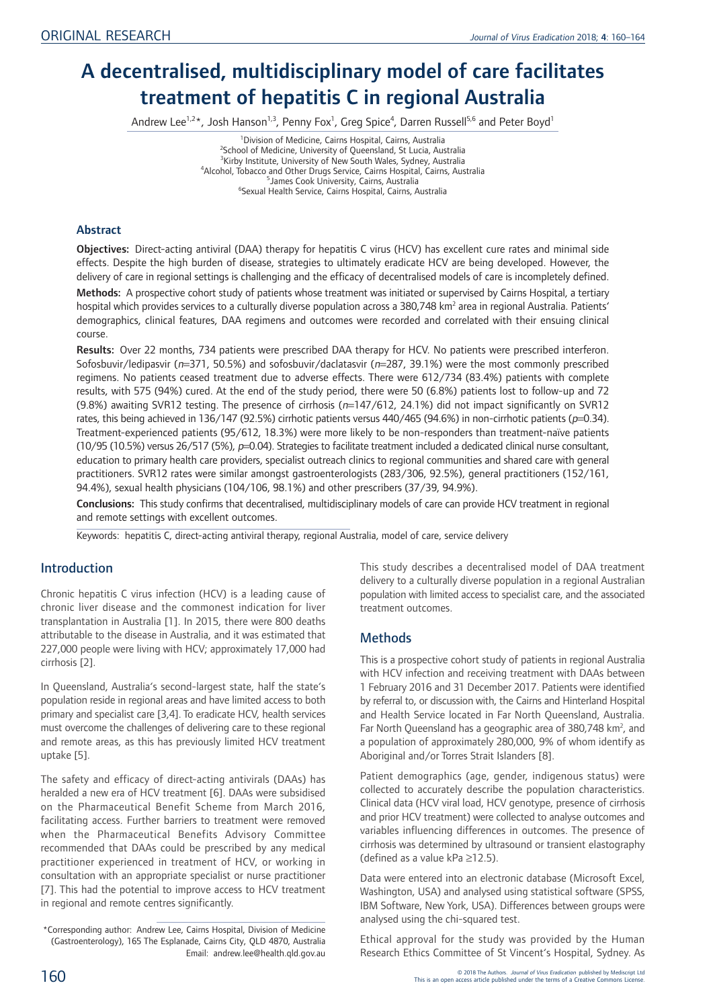# A decentralised, multidisciplinary model of care facilitates treatment of hepatitis C in regional Australia

Andrew Lee<sup>1,2\*</sup>, Josh Hanson<sup>1,3</sup>, Penny Fox<sup>1</sup>, Greg Spice<sup>4</sup>, Darren Russell<sup>5,6</sup> and Peter Boyd<sup>1</sup>

<sup>1</sup> Division of Medicine, Cairns Hospital, Cairns, Australia<sup>2</sup><br><sup>2</sup> School of Medicine, University of Queensland, St Lucia, Aus <sup>2</sup>School of Medicine, University of Queensland, St Lucia, Australia <sup>3</sup> Kirby Institute, University of New South Wales, Sydney, Australia<br><sup>4</sup> Nicobel Jobacco and Other Drugs Senvice, Cairns Hospital, Cairns, Aust <sup>4</sup> Alcohol, Tobacco and Other Drugs Service, Cairns Hospital, Cairns, Australia <sup>5</sup> James Cook University, Cairns, Australia Sexual Health Service, Cairns Hospital, Cairns, Australia

## Abstract

Objectives: Direct-acting antiviral (DAA) therapy for hepatitis C virus (HCV) has excellent cure rates and minimal side effects. Despite the high burden of disease, strategies to ultimately eradicate HCV are being developed. However, the delivery of care in regional settings is challenging and the efficacy of decentralised models of care is incompletely defined.

Methods: A prospective cohort study of patients whose treatment was initiated or supervised by Cairns Hospital, a tertiary hospital which provides services to a culturally diverse population across a 380,748 km<sup>2</sup> area in regional Australia. Patients' demographics, clinical features, DAA regimens and outcomes were recorded and correlated with their ensuing clinical course.

Results: Over 22 months, 734 patients were prescribed DAA therapy for HCV. No patients were prescribed interferon. Sofosbuvir/ledipasvir (n=371, 50.5%) and sofosbuvir/daclatasvir (n=287, 39.1%) were the most commonly prescribed regimens. No patients ceased treatment due to adverse effects. There were 612/734 (83.4%) patients with complete results, with 575 (94%) cured. At the end of the study period, there were 50 (6.8%) patients lost to follow-up and 72 (9.8%) awaiting SVR12 testing. The presence of cirrhosis ( $n=147/612$ , 24.1%) did not impact significantly on SVR12 rates, this being achieved in 136/147 (92.5%) cirrhotic patients versus 440/465 (94.6%) in non-cirrhotic patients (p=0.34). Treatment-experienced patients (95/612, 18.3%) were more likely to be non-responders than treatment-naïve patients (10/95 (10.5%) versus 26/517 (5%),  $p=0.04$ ). Strategies to facilitate treatment included a dedicated clinical nurse consultant, education to primary health care providers, specialist outreach clinics to regional communities and shared care with general practitioners. SVR12 rates were similar amongst gastroenterologists (283/306, 92.5%), general practitioners (152/161, 94.4%), sexual health physicians (104/106, 98.1%) and other prescribers (37/39, 94.9%).

Conclusions: This study confirms that decentralised, multidisciplinary models of care can provide HCV treatment in regional and remote settings with excellent outcomes.

Keywords: hepatitis C, direct-acting antiviral therapy, regional Australia, model of care, service delivery

# Introduction

Chronic hepatitis C virus infection (HCV) is a leading cause of chronic liver disease and the commonest indication for liver transplantation in Australia [1]. In 2015, there were 800 deaths attributable to the disease in Australia, and it was estimated that 227,000 people were living with HCV; approximately 17,000 had cirrhosis [2].

In Queensland, Australia's second-largest state, half the state's population reside in regional areas and have limited access to both primary and specialist care [3,4]. To eradicate HCV, health services must overcome the challenges of delivering care to these regional and remote areas, as this has previously limited HCV treatment uptake [5].

The safety and efficacy of direct-acting antivirals (DAAs) has heralded a new era of HCV treatment [6]. DAAs were subsidised on the Pharmaceutical Benefit Scheme from March 2016, facilitating access. Further barriers to treatment were removed when the Pharmaceutical Benefits Advisory Committee recommended that DAAs could be prescribed by any medical practitioner experienced in treatment of HCV, or working in consultation with an appropriate specialist or nurse practitioner [7]. This had the potential to improve access to HCV treatment in regional and remote centres significantly.

This study describes a decentralised model of DAA treatment delivery to a culturally diverse population in a regional Australian population with limited access to specialist care, and the associated treatment outcomes.

# **Methods**

This is a prospective cohort study of patients in regional Australia with HCV infection and receiving treatment with DAAs between 1 February 2016 and 31 December 2017. Patients were identified by referral to, or discussion with, the Cairns and Hinterland Hospital and Health Service located in Far North Queensland, Australia. Far North Queensland has a geographic area of 380,748 km<sup>2</sup>, and a population of approximately 280,000, 9% of whom identify as Aboriginal and/or Torres Strait Islanders [8].

Patient demographics (age, gender, indigenous status) were collected to accurately describe the population characteristics. Clinical data (HCV viral load, HCV genotype, presence of cirrhosis and prior HCV treatment) were collected to analyse outcomes and variables influencing differences in outcomes. The presence of cirrhosis was determined by ultrasound or transient elastography (defined as a value kPa ≥12.5).

Data were entered into an electronic database (Microsoft Excel, Washington, USA) and analysed using statistical software (SPSS, IBM Software, New York, USA). Differences between groups were analysed using the chi-squared test.

Ethical approval for the study was provided by the Human Research Ethics Committee of St Vincent's Hospital, Sydney. As

<sup>\*</sup>Corresponding author: Andrew Lee, Cairns Hospital, Division of Medicine (Gastroenterology), 165 The Esplanade, Cairns City, QLD 4870, Australia Email: andrew.lee@health.qld.gov.au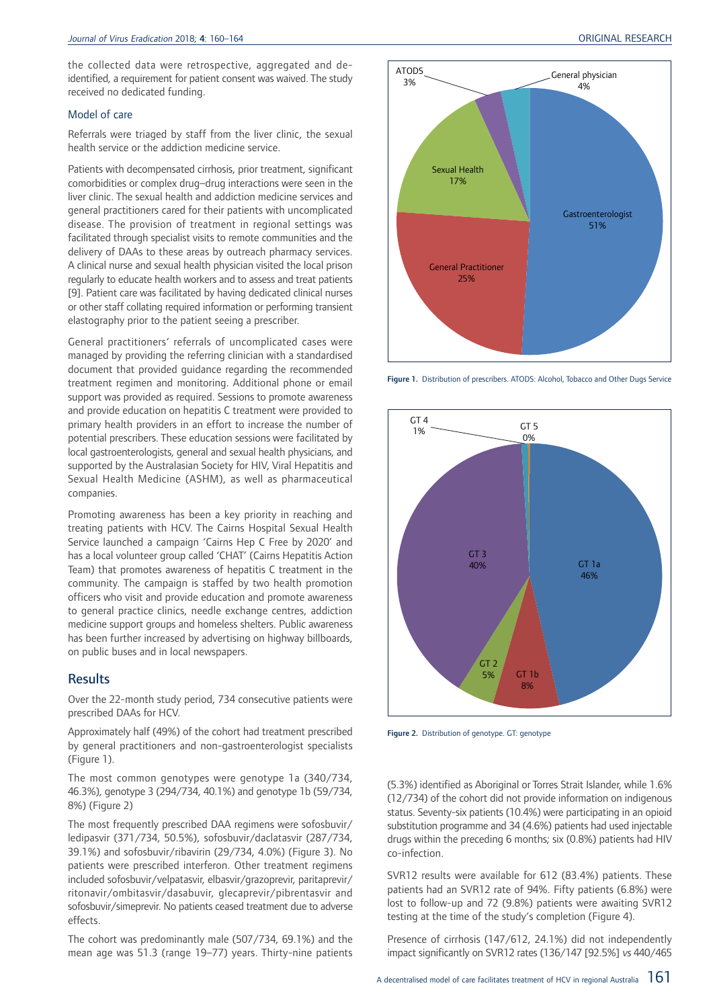the collected data were retrospective, aggregated and deidentified, a requirement for patient consent was waived. The study received no dedicated funding.

#### Model of care

Referrals were triaged by staff from the liver clinic, the sexual health service or the addiction medicine service.

Patients with decompensated cirrhosis, prior treatment, significant comorbidities or complex drug–drug interactions were seen in the liver clinic. The sexual health and addiction medicine services and general practitioners cared for their patients with uncomplicated disease. The provision of treatment in regional settings was facilitated through specialist visits to remote communities and the delivery of DAAs to these areas by outreach pharmacy services. A clinical nurse and sexual health physician visited the local prison regularly to educate health workers and to assess and treat patients [9]. Patient care was facilitated by having dedicated clinical nurses or other staff collating required information or performing transient elastography prior to the patient seeing a prescriber.

General practitioners' referrals of uncomplicated cases were managed by providing the referring clinician with a standardised document that provided guidance regarding the recommended treatment regimen and monitoring. Additional phone or email support was provided as required. Sessions to promote awareness and provide education on hepatitis C treatment were provided to primary health providers in an effort to increase the number of potential prescribers. These education sessions were facilitated by local gastroenterologists, general and sexual health physicians, and supported by the Australasian Society for HIV, Viral Hepatitis and Sexual Health Medicine (ASHM), as well as pharmaceutical companies.

Promoting awareness has been a key priority in reaching and treating patients with HCV. The Cairns Hospital Sexual Health Service launched a campaign 'Cairns Hep C Free by 2020' and has a local volunteer group called 'CHAT' (Cairns Hepatitis Action Team) that promotes awareness of hepatitis C treatment in the community. The campaign is staffed by two health promotion officers who visit and provide education and promote awareness to general practice clinics, needle exchange centres, addiction medicine support groups and homeless shelters. Public awareness has been further increased by advertising on highway billboards, on public buses and in local newspapers.

## **Results**

Over the 22-month study period, 734 consecutive patients were prescribed DAAs for HCV.

Approximately half (49%) of the cohort had treatment prescribed by general practitioners and non-gastroenterologist specialists (Figure 1).

The most common genotypes were genotype 1a (340/734, 46.3%), genotype 3 (294/734, 40.1%) and genotype 1b (59/734, 8%) (Figure 2)

The most frequently prescribed DAA regimens were sofosbuvir/ ledipasvir (371/734, 50.5%), sofosbuvir/daclatasvir (287/734, 39.1%) and sofosbuvir/ribavirin (29/734, 4.0%) (Figure 3). No patients were prescribed interferon. Other treatment regimens included sofosbuvir/velpatasvir, elbasvir/grazoprevir, paritaprevir/ ritonavir/ombitasvir/dasabuvir, glecaprevir/pibrentasvir and sofosbuvir/simeprevir. No patients ceased treatment due to adverse effects.

The cohort was predominantly male (507/734, 69.1%) and the mean age was 51.3 (range 19–77) years. Thirty-nine patients



Figure 1. Distribution of prescribers. ATODS: Alcohol, Tobacco and Other Dugs Service



Figure 2. Distribution of genotype. GT: genotype

(5.3%) identified as Aboriginal or Torres Strait Islander, while 1.6% (12/734) of the cohort did not provide information on indigenous status. Seventy-six patients (10.4%) were participating in an opioid substitution programme and 34 (4.6%) patients had used injectable drugs within the preceding 6 months; six (0.8%) patients had HIV co-infection.

SVR12 results were available for 612 (83.4%) patients. These patients had an SVR12 rate of 94%. Fifty patients (6.8%) were lost to follow-up and 72 (9.8%) patients were awaiting SVR12 testing at the time of the study's completion (Figure 4).

Presence of cirrhosis (147/612, 24.1%) did not independently impact significantly on SVR12 rates (136/147 [92.5%] vs 440/465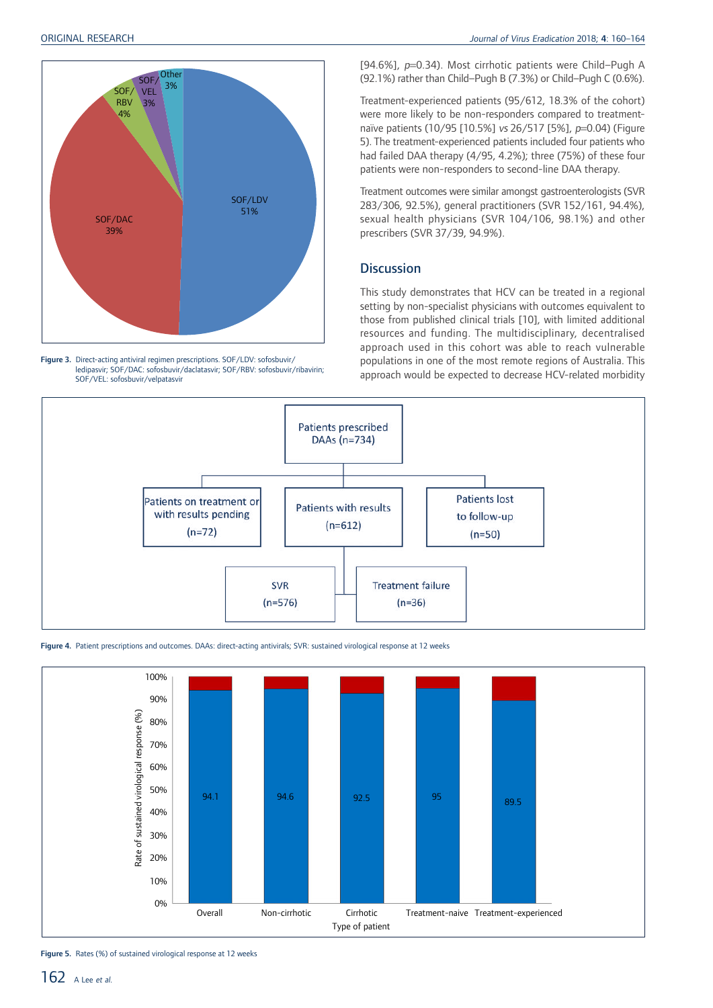

Figure 3. Direct-acting antiviral regimen prescriptions. SOF/LDV: sofosbuvir/ ledipasvir; SOF/DAC: sofosbuvir/daclatasvir; SOF/RBV: sofosbuvir/ribavirin; SOF/VEL: sofosbuvir/velpatasvir

[94.6%], <sup>p</sup>=0.34). Most cirrhotic patients were Child–Pugh A (92.1%) rather than Child–Pugh B (7.3%) or Child–Pugh C (0.6%).

Treatment-experienced patients (95/612, 18.3% of the cohort) were more likely to be non-responders compared to treatmentnaïve patients (10/95 [10.5%] vs 26/517 [5%], p=0.04) (Figure 5). The treatment-experienced patients included four patients who had failed DAA therapy (4/95, 4.2%); three (75%) of these four patients were non-responders to second-line DAA therapy.

Treatment outcomes were similar amongst gastroenterologists (SVR 283/306, 92.5%), general practitioners (SVR 152/161, 94.4%), sexual health physicians (SVR 104/106, 98.1%) and other prescribers (SVR 37/39, 94.9%).

## **Discussion**

This study demonstrates that HCV can be treated in a regional setting by non-specialist physicians with outcomes equivalent to those from published clinical trials [10], with limited additional resources and funding. The multidisciplinary, decentralised approach used in this cohort was able to reach vulnerable populations in one of the most remote regions of Australia. This approach would be expected to decrease HCV-related morbidity



Figure 4. Patient prescriptions and outcomes. DAAs: direct-acting antivirals; SVR: sustained virological response at 12 weeks



Figure 5. Rates (%) of sustained virological response at 12 weeks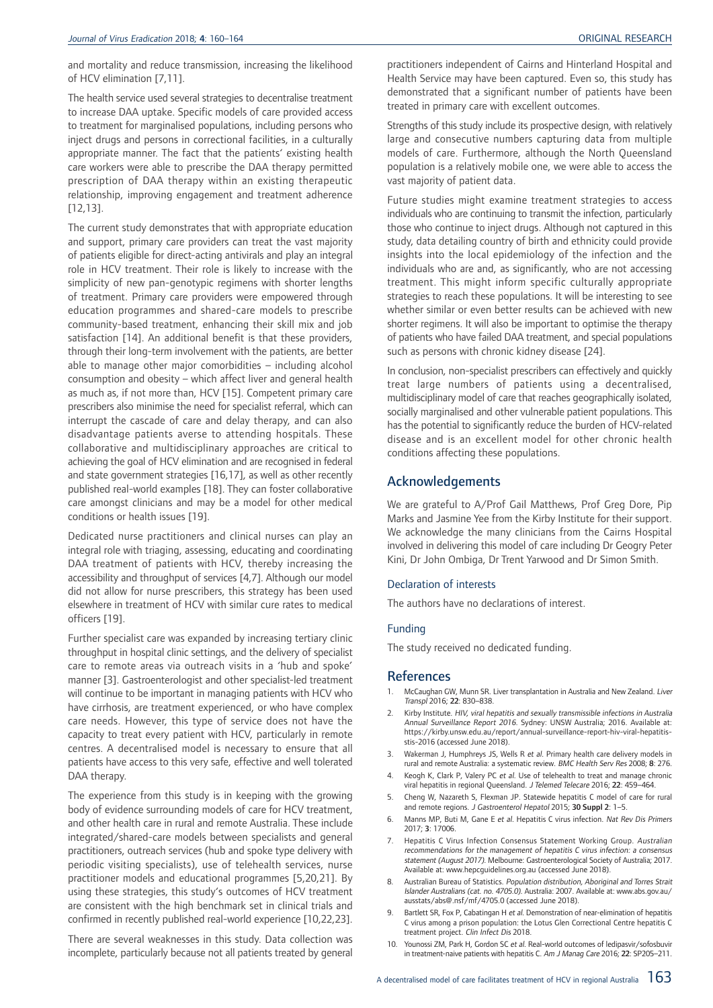and mortality and reduce transmission, increasing the likelihood of HCV elimination [7,11].

The health service used several strategies to decentralise treatment to increase DAA uptake. Specific models of care provided access to treatment for marginalised populations, including persons who inject drugs and persons in correctional facilities, in a culturally appropriate manner. The fact that the patients' existing health care workers were able to prescribe the DAA therapy permitted prescription of DAA therapy within an existing therapeutic relationship, improving engagement and treatment adherence [12,13].

The current study demonstrates that with appropriate education and support, primary care providers can treat the vast majority of patients eligible for direct-acting antivirals and play an integral role in HCV treatment. Their role is likely to increase with the simplicity of new pan-genotypic regimens with shorter lengths of treatment. Primary care providers were empowered through education programmes and shared-care models to prescribe community-based treatment, enhancing their skill mix and job satisfaction [14]. An additional benefit is that these providers, through their long-term involvement with the patients, are better able to manage other major comorbidities – including alcohol consumption and obesity – which affect liver and general health as much as, if not more than, HCV [15]. Competent primary care prescribers also minimise the need for specialist referral, which can interrupt the cascade of care and delay therapy, and can also disadvantage patients averse to attending hospitals. These collaborative and multidisciplinary approaches are critical to achieving the goal of HCV elimination and are recognised in federal and state government strategies [16,17], as well as other recently published real-world examples [18]. They can foster collaborative care amongst clinicians and may be a model for other medical conditions or health issues [19].

Dedicated nurse practitioners and clinical nurses can play an integral role with triaging, assessing, educating and coordinating DAA treatment of patients with HCV, thereby increasing the accessibility and throughput of services [4,7]. Although our model did not allow for nurse prescribers, this strategy has been used elsewhere in treatment of HCV with similar cure rates to medical officers [19].

Further specialist care was expanded by increasing tertiary clinic throughput in hospital clinic settings, and the delivery of specialist care to remote areas via outreach visits in a 'hub and spoke' manner [3]. Gastroenterologist and other specialist-led treatment will continue to be important in managing patients with HCV who have cirrhosis, are treatment experienced, or who have complex care needs. However, this type of service does not have the capacity to treat every patient with HCV, particularly in remote centres. A decentralised model is necessary to ensure that all patients have access to this very safe, effective and well tolerated DAA therapy.

The experience from this study is in keeping with the growing body of evidence surrounding models of care for HCV treatment, and other health care in rural and remote Australia. These include integrated/shared-care models between specialists and general practitioners, outreach services (hub and spoke type delivery with periodic visiting specialists), use of telehealth services, nurse practitioner models and educational programmes [5,20,21]. By using these strategies, this study's outcomes of HCV treatment are consistent with the high benchmark set in clinical trials and confirmed in recently published real-world experience [10,22,23].

There are several weaknesses in this study. Data collection was incomplete, particularly because not all patients treated by general practitioners independent of Cairns and Hinterland Hospital and Health Service may have been captured. Even so, this study has demonstrated that a significant number of patients have been treated in primary care with excellent outcomes.

Strengths of this study include its prospective design, with relatively large and consecutive numbers capturing data from multiple models of care. Furthermore, although the North Queensland population is a relatively mobile one, we were able to access the vast majority of patient data.

Future studies might examine treatment strategies to access individuals who are continuing to transmit the infection, particularly those who continue to inject drugs. Although not captured in this study, data detailing country of birth and ethnicity could provide insights into the local epidemiology of the infection and the individuals who are and, as significantly, who are not accessing treatment. This might inform specific culturally appropriate strategies to reach these populations. It will be interesting to see whether similar or even better results can be achieved with new shorter regimens. It will also be important to optimise the therapy of patients who have failed DAA treatment, and special populations such as persons with chronic kidney disease [24].

In conclusion, non-specialist prescribers can effectively and quickly treat large numbers of patients using a decentralised, multidisciplinary model of care that reaches geographically isolated, socially marginalised and other vulnerable patient populations. This has the potential to significantly reduce the burden of HCV-related disease and is an excellent model for other chronic health conditions affecting these populations.

## Acknowledgements

We are grateful to A/Prof Gail Matthews, Prof Greg Dore, Pip Marks and Jasmine Yee from the Kirby Institute for their support. We acknowledge the many clinicians from the Cairns Hospital involved in delivering this model of care including Dr Geogry Peter Kini, Dr John Ombiga, Dr Trent Yarwood and Dr Simon Smith.

#### Declaration of interests

The authors have no declarations of interest.

### Funding

The study received no dedicated funding.

#### References

- 1. McCaughan GW, Munn SR. Liver transplantation in Australia and New Zealand. Liver Transpl 2016; 22: 830–838.
- 2. Kirby Institute. HIV, viral hepatitis and sexually transmissible infections in Australia Annual Surveillance Report <sup>2016</sup>. Sydney: UNSW Australia; 2016. Available at: https://kirby.unsw.edu.au/report/annual-surveillance-report-hiv-viral-hepatitisstis-2016 (accessed June 2018).
- 3. Wakerman J, Humphreys JS, Wells R et al. Primary health care delivery models in rural and remote Australia: a systematic review. BMC Health Serv Res 2008; 8: 276.
- Keogh K, Clark P, Valery PC et al. Use of telehealth to treat and manage chronic viral hepatitis in regional Queensland. <sup>J</sup> Telemed Telecare 2016; 22: 459–464.
- 5. Cheng W, Nazareth S, Flexman JP. Statewide hepatitis C model of care for rural and remote regions. <sup>J</sup> Gastroenterol Hepatol 2015; 30 Suppl 2: 1–5.
- 6. Manns MP, Buti M, Gane E et al. Hepatitis C virus infection. Nat Rev Dis Primers 2017; 3: 17006.
- 7. Hepatitis C Virus Infection Consensus Statement Working Group. Australian recommendations for the management of hepatitis C virus infection: <sup>a</sup> consensus statement (August 2017). Melbourne: Gastroenterological Society of Australia; 2017. Available at: www.hepcguidelines.org.au (accessed June 2018).
- 8. Australian Bureau of Statistics. Population distribution, Aboriginal and Torres Strait Islander Australians (cat. no. 4705.0). Australia: 2007. Available at: www.abs.gov.au/ ausstats/abs@.nsf/mf/4705.0 (accessed June 2018).
- 9. Bartlett SR, Fox P, Cabatingan H et al. Demonstration of near-elimination of hepatitis C virus among a prison population: the Lotus Glen Correctional Centre hepatitis C treatment project. Clin Infect Dis 2018.
- 10. Younossi ZM, Park H, Gordon SC et al. Real-world outcomes of ledipasvir/sofosbuvir in treatment-naive patients with hepatitis C. Am <sup>J</sup> Manag Care 2016; 22: SP205–211.